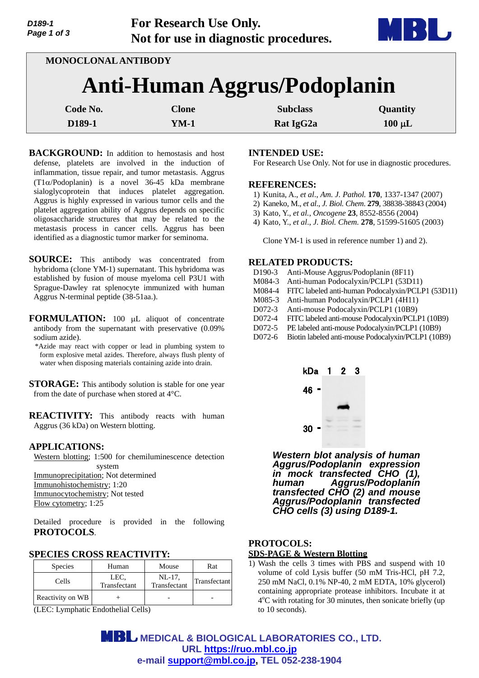

**MONOCLONAL ANTIBODY Anti-Human Aggrus/Podoplanin Code No.** Clone Clone Subclass Quantity **D189-1 CONFIDENTIFY RATE ISSUE ASSAULTED RATE ISSUE ASSAULTED RATE ISSUE ASSAULTED RATE ISSUE ASSAULTED** 

- **BACKGROUND:** In addition to hemostasis and host defense, platelets are involved in the induction of inflammation, tissue repair, and tumor metastasis. Aggrus  $(T1\alpha$ /Podoplanin) is a novel 36-45 kDa membrane sialoglycoprotein that induces platelet aggregation. Aggrus is highly expressed in various tumor cells and the platelet aggregation ability of Aggrus depends on specific oligosaccharide structures that may be related to the metastasis process in cancer cells. Aggrus has been identified as a diagnostic tumor marker for seminoma.
- **SOURCE:** This antibody was concentrated from hybridoma (clone YM-1) supernatant. This hybridoma was established by fusion of mouse myeloma cell P3U1 with Sprague-Dawley rat splenocyte immunized with human Aggrus N-terminal peptide (38-51aa.).
- FORMULATION: 100 µL aliquot of concentrate antibody from the supernatant with preservative (0.09% sodium azide).
	- \*Azide may react with copper or lead in plumbing system to form explosive metal azides. Therefore, always flush plenty of water when disposing materials containing azide into drain.

**STORAGE:** This antibody solution is stable for one year from the date of purchase when stored at 4°C.

**REACTIVITY:** This antibody reacts with human Aggrus (36 kDa) on Western blotting.

## **APPLICATIONS:**

Western blotting; 1:500 for chemiluminescence detection system Immunoprecipitation; Not determined Immunohistochemistry; 1:20 Immunocytochemistry; Not tested Flow cytometry; 1:25

Detailed procedure is provided in the following **PROTOCOLS**.

## **SPECIES CROSS REACTIVITY:**

| <b>Species</b>   | Human                | Mouse                  | Rat          |
|------------------|----------------------|------------------------|--------------|
| Cells            | LEC.<br>Transfectant | NL-17.<br>Transfectant | Transfectant |
| Reactivity on WB |                      |                        |              |

(LEC: Lymphatic Endothelial Cells)

## **INTENDED USE:**

For Research Use Only. Not for use in diagnostic procedures.

#### **REFERENCES:**

- 1) Kunita, A., *et al*., *Am. J. Pathol.* **170**, 1337-1347 (2007)
- 2) Kaneko, M., *et al*., *J. Biol. Chem*. **279**, 38838-38843 (2004)
- 3) Kato, Y., *et al.*, *Oncogene* **23**, 8552-8556 (2004)
- 4) Kato, Y., *et al*., *J. Biol. Chem.* **278**, 51599-51605 (2003)

Clone YM-1 is used in reference number 1) and 2).

## **RELATED PRODUCTS:**

| D <sub>190</sub> -3 | Anti-Mouse Aggrus/Podoplanin (8F11)                |
|---------------------|----------------------------------------------------|
| M084-3              | Anti-human Podocalyxin/PCLP1 (53D11)               |
| M084-4              | FITC labeled anti-human Podocalyxin/PCLP1 (53D11)  |
| M085-3              | Anti-human Podocalyxin/PCLP1 (4H11)                |
| $D072-3$            | Anti-mouse Podocalyxin/PCLP1 (10B9)                |
| $D072-4$            | FITC labeled anti-mouse Podocalyxin/PCLP1 (10B9)   |
| $D072-5$            | PE labeled anti-mouse Podocalyxin/PCLP1 (10B9)     |
| $D072-6$            | Biotin labeled anti-mouse Podocalyxin/PCLP1 (10B9) |
|                     |                                                    |



*Western blot analysis of human Aggrus/Podoplanin expression in mock transfected CHO (1), human Aggrus/Podoplanin transfected CHO (2) and mouse Aggrus/Podoplanin transfected CHO cells (3) using D189-1.*

# **PROTOCOLS: SDS-PAGE & Western Blotting**

1) Wash the cells 3 times with PBS and suspend with 10 volume of cold Lysis buffer (50 mM Tris-HCl, pH 7.2, 250 mM NaCl, 0.1% NP-40, 2 mM EDTA, 10% glycerol) containing appropriate protease inhibitors. Incubate it at 4<sup>o</sup>C with rotating for 30 minutes, then sonicate briefly (up to 10 seconds).

**MBL** MEDICAL & BIOLOGICAL LABORATORIES CO., LTD. **URL https://ruo.mbl.co.jp e-mail support@mbl.co.jp, TEL 052-238-1904**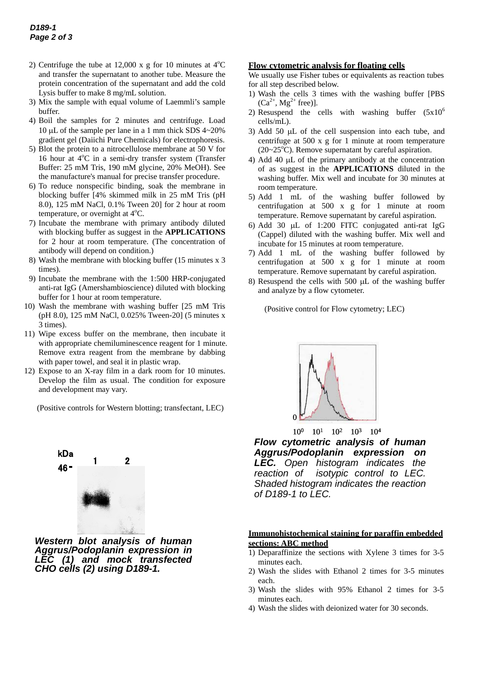- 2) Centrifuge the tube at 12,000 x g for 10 minutes at  $4^{\circ}$ C and transfer the supernatant to another tube. Measure the protein concentration of the supernatant and add the cold Lysis buffer to make 8 mg/mL solution.
- 3) Mix the sample with equal volume of Laemmli's sample buffer.
- 4) Boil the samples for 2 minutes and centrifuge. Load 10  $\mu$ L of the sample per lane in a 1 mm thick SDS 4~20% gradient gel (Daiichi Pure Chemicals) for electrophoresis.
- 5) Blot the protein to a nitrocellulose membrane at 50 V for 16 hour at 4°C in a semi-dry transfer system (Transfer Buffer: 25 mM Tris, 190 mM glycine, 20% MeOH). See the manufacture's manual for precise transfer procedure.
- 6) To reduce nonspecific binding, soak the membrane in blocking buffer [4% skimmed milk in 25 mM Tris (pH 8.0), 125 mM NaCl, 0.1% Tween 20] for 2 hour at room temperature, or overnight at  $4^{\circ}$ C.
- 7) Incubate the membrane with primary antibody diluted with blocking buffer as suggest in the **APPLICATIONS** for 2 hour at room temperature. (The concentration of antibody will depend on condition.)
- 8) Wash the membrane with blocking buffer (15 minutes x 3 times).
- 9) Incubate the membrane with the 1:500 HRP-conjugated anti-rat IgG (Amershambioscience) diluted with blocking buffer for 1 hour at room temperature.
- 10) Wash the membrane with washing buffer [25 mM Tris (pH 8.0), 125 mM NaCl, 0.025% Tween-20] (5 minutes x 3 times).
- 11) Wipe excess buffer on the membrane, then incubate it with appropriate chemiluminescence reagent for 1 minute. Remove extra reagent from the membrane by dabbing with paper towel, and seal it in plastic wrap.
- 12) Expose to an X-ray film in a dark room for 10 minutes. Develop the film as usual. The condition for exposure and development may vary.

(Positive controls for Western blotting; transfectant, LEC)



*Western blot analysis of human Aggrus/Podoplanin expression in LEC (1) and mock transfected CHO cells (2) using D189-1.* 

#### **Flow cytometric analysis for floating cells**

We usually use Fisher tubes or equivalents as reaction tubes for all step described below.

- 1) Wash the cells 3 times with the washing buffer [PBS  $(Ca^{2+}, Mg^{2+}$  free)].
- 2) Resuspend the cells with washing buffer  $(5x10^6)$ cells/mL).
- 3) Add 50  $\mu$ L of the cell suspension into each tube, and centrifuge at 500 x g for 1 minute at room temperature  $(20~25<sup>o</sup>C)$ . Remove supernatant by careful aspiration.
- 4) Add 40  $\mu$ L of the primary antibody at the concentration of as suggest in the **APPLICATIONS** diluted in the washing buffer. Mix well and incubate for 30 minutes at room temperature.
- 5) Add 1 mL of the washing buffer followed by centrifugation at 500 x g for 1 minute at room temperature. Remove supernatant by careful aspiration.
- 6) Add 30  $\mu$ L of 1:200 FITC conjugated anti-rat IgG (Cappel) diluted with the washing buffer. Mix well and incubate for 15 minutes at room temperature.
- 7) Add 1 mL of the washing buffer followed by centrifugation at 500 x g for 1 minute at room temperature. Remove supernatant by careful aspiration.
- 8) Resuspend the cells with 500  $\mu$ L of the washing buffer and analyze by a flow cytometer.

(Positive control for Flow cytometry; LEC)



*Flow cytometric analysis of human Aggrus/Podoplanin expression on LEC. Open histogram indicates the reaction of isotypic control to LEC. Shaded histogram indicates the reaction of D189-1 to LEC.* 100 101 102 103 104

#### **Immunohistochemical staining for paraffin embedded sections: ABC method**

- 1) Deparaffinize the sections with Xylene 3 times for 3-5 minutes each.
- 2) Wash the slides with Ethanol 2 times for 3-5 minutes each.
- 3) Wash the slides with 95% Ethanol 2 times for 3-5 minutes each.
- 4) Wash the slides with deionized water for 30 seconds.